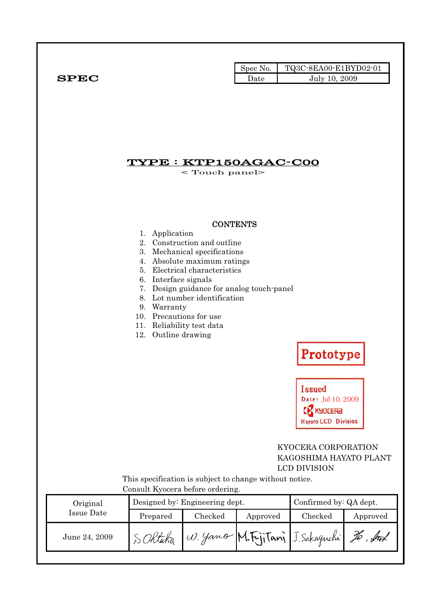|              |      | Spec No. $\blacksquare$ TQ3C-8EA00-E1BYD02-01 |
|--------------|------|-----------------------------------------------|
| ${\bf SPEC}$ | Date | July 10, 2009                                 |

## TYPE : KTP150AGAC-C00

< Touch panel>

#### **CONTENTS**

- 1. Application
- 2. Construction and outline
- 3. Mechanical specifications
- 4. Absolute maximum ratings
- 5. Electrical characteristics
- 6. Interface signals
- 7. Design guidance for analog touch-panel
- 8. Lot number identification
- 9. Warranty
- 10. Precautions for use
- 11. Reliability test data
- 12. Outline drawing

# Prototype

**Issued**  $Date:$  Jul 10, 2009 **CX** KYDCERA Hayato LCD Division

#### KYOCERA CORPORATION KAGOSHIMA HAYATO PLANT LCD DIVISION

This specification is subject to change without notice. Consult Kyocera before ordering.

| Original      |          | Designed by: Engineering dept. |          | Confirmed by: QA dept.          |          |
|---------------|----------|--------------------------------|----------|---------------------------------|----------|
| Issue Date    | Prepared | Checked                        | Approved | Checked                         | Approved |
| June 24, 2009 |          |                                |          | W. Yano M.FijiTani J. Sakaguchi | To Aut   |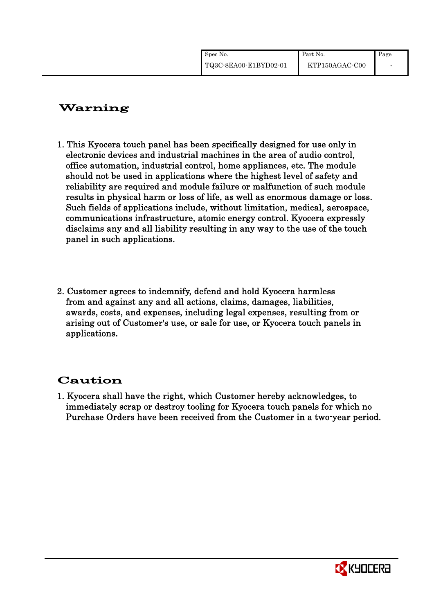| Spec No.              | Part No.       | Page |
|-----------------------|----------------|------|
| TQ3C-8EA00-E1BYD02-01 | KTP150AGAC-C00 |      |

## Warning

- 1. This Kyocera touch panel has been specifically designed for use only in electronic devices and industrial machines in the area of audio control, office automation, industrial control, home appliances, etc. The module should not be used in applications where the highest level of safety and reliability are required and module failure or malfunction of such module results in physical harm or loss of life, as well as enormous damage or loss. Such fields of applications include, without limitation, medical, aerospace, communications infrastructure, atomic energy control. Kyocera expressly disclaims any and all liability resulting in any way to the use of the touch panel in such applications.
- 2. Customer agrees to indemnify, defend and hold Kyocera harmless from and against any and all actions, claims, damages, liabilities, awards, costs, and expenses, including legal expenses, resulting from or arising out of Customer's use, or sale for use, or Kyocera touch panels in applications.

## Caution

1. Kyocera shall have the right, which Customer hereby acknowledges, to immediately scrap or destroy tooling for Kyocera touch panels for which no Purchase Orders have been received from the Customer in a two-year period.

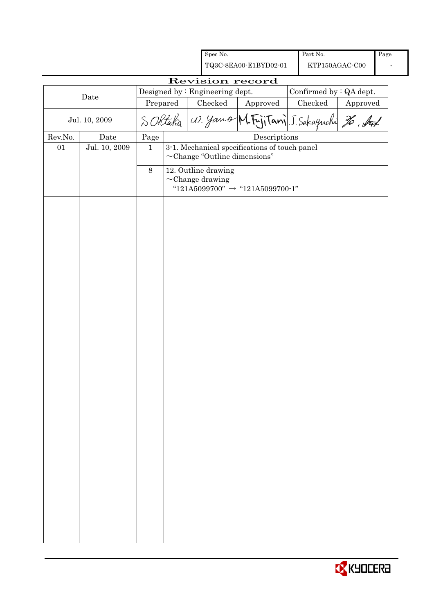|         |                                        |              |  | Spec No.                                     |                                                                                     | Part No.       |          | Page |
|---------|----------------------------------------|--------------|--|----------------------------------------------|-------------------------------------------------------------------------------------|----------------|----------|------|
|         |                                        |              |  |                                              | TQ3C-8EA00-E1BYD02-01                                                               | KTP150AGAC-C00 |          |      |
|         |                                        |              |  |                                              | Revision record                                                                     |                |          |      |
|         | Designed by: Engineering dept.<br>Date |              |  |                                              | Confirmed by : QA dept.                                                             |                |          |      |
|         |                                        | Prepared     |  | Checked                                      | Approved                                                                            | Checked        | Approved |      |
|         | Jul. 10, 2009                          |              |  |                                              | SORtaka W. yamo M.F.jiTani J. Sakaguchi 26, Auf                                     |                |          |      |
| Rev.No. | Date                                   | Page         |  |                                              | Descriptions                                                                        |                |          |      |
| 01      | Jul. 10, 2009                          | $\mathbf{1}$ |  |                                              | 3-1. Mechanical specifications of touch panel<br>$\sim$ Change "Outline dimensions" |                |          |      |
|         |                                        | 8            |  | 12. Outline drawing<br>$\sim$ Change drawing | "121A5099700" $\rightarrow$ "121A5099700-1"                                         |                |          |      |
|         |                                        |              |  |                                              |                                                                                     |                |          |      |
|         |                                        |              |  |                                              |                                                                                     |                |          |      |
|         |                                        |              |  |                                              |                                                                                     |                |          |      |
|         |                                        |              |  |                                              |                                                                                     |                |          |      |
|         |                                        |              |  |                                              |                                                                                     |                |          |      |
|         |                                        |              |  |                                              |                                                                                     |                |          |      |
|         |                                        |              |  |                                              |                                                                                     |                |          |      |
|         |                                        |              |  |                                              |                                                                                     |                |          |      |
|         |                                        |              |  |                                              |                                                                                     |                |          |      |
|         |                                        |              |  |                                              |                                                                                     |                |          |      |
|         |                                        |              |  |                                              |                                                                                     |                |          |      |
|         |                                        |              |  |                                              |                                                                                     |                |          |      |
|         |                                        |              |  |                                              |                                                                                     |                |          |      |
|         |                                        |              |  |                                              |                                                                                     |                |          |      |
|         |                                        |              |  |                                              |                                                                                     |                |          |      |

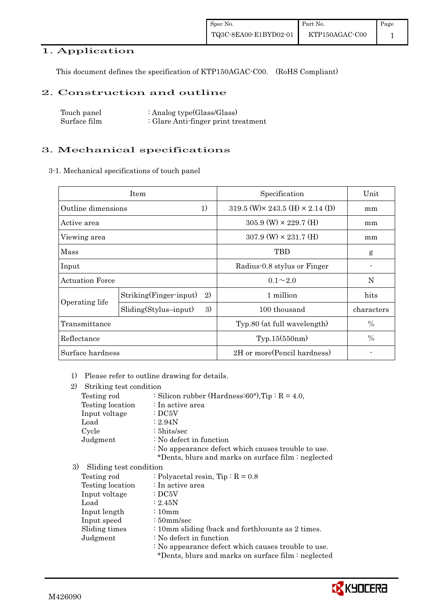### 1. Application

This document defines the specification of KTP150AGAC-C00. (RoHS Compliant)

#### 2. Construction and outline

| Touch panel  | : Analog type $(Glass/Glass)$       |
|--------------|-------------------------------------|
| Surface film | : Glare Anti-finger print treatment |

#### 3. Mechanical specifications

3-1. Mechanical specifications of touch panel

|                          | Item                          | Specification                                  | Unit          |
|--------------------------|-------------------------------|------------------------------------------------|---------------|
| 1)<br>Outline dimensions |                               | 319.5 (W) $\times$ 243.5 (H) $\times$ 2.14 (D) | mm            |
| Active area              |                               | $305.9$ (W) $\times$ 229.7 (H)                 | mm            |
| Viewing area             |                               | $307.9$ (W) $\times$ 231.7 (H)                 | mm            |
| Mass                     |                               | TBD                                            | g             |
| Input                    |                               | Radius-0.8 stylus or Finger                    |               |
| <b>Actuation Force</b>   |                               | $0.1 \sim 2.0$                                 | N             |
|                          | 2)<br>Striking(Finger-input)  | 1 million                                      | hits          |
| Operating life           | 3)<br>$Sliding(Stylus-input)$ | 100 thousand                                   | characters    |
| Transmittance            |                               | Typ.80 (at full wavelength)                    | $\frac{0}{0}$ |
| Reflectance              |                               | Typ.15(550nm)                                  | $\frac{0}{0}$ |
| Surface hardness         |                               | 2H or more (Pencil hardness)                   |               |

1) Please refer to outline drawing for details.

| 2)<br>Striking test condition |                                                     |
|-------------------------------|-----------------------------------------------------|
| Testing rod                   | : Silicon rubber (Hardness: 60°), Tip: $R = 4.0$ ,  |
| Testing location              | : In active area                                    |
| Input voltage                 | $\therefore$ DC5V                                   |
| Load                          | : 2.94N                                             |
| Cycle                         | $: 5$ hits/sec                                      |
| Judgment                      | : No defect in function                             |
|                               | : No appearance defect which causes trouble to use. |
|                               | *Dents, blurs and marks on surface film : neglected |
| 3)<br>Sliding test condition  |                                                     |
| Testing rod                   | : Polyacetal resin, $Tip: R = 0.8$                  |
| Testing location              | : In active area                                    |
| Input voltage                 | $\cdot$ DC5V                                        |
| Load                          | : 2.45N                                             |
| Input length                  | $\frac{10}{2}$                                      |
| Input speed                   | $\frac{1}{2}$ 50 mm/sec                             |
| Sliding times                 | : 10mm sliding (back and forth) counts as 2 times.  |
| Judgment                      | : No defect in function                             |
|                               | : No appearance defect which causes trouble to use. |
|                               | *Dents, blurs and marks on surface film : neglected |
|                               |                                                     |

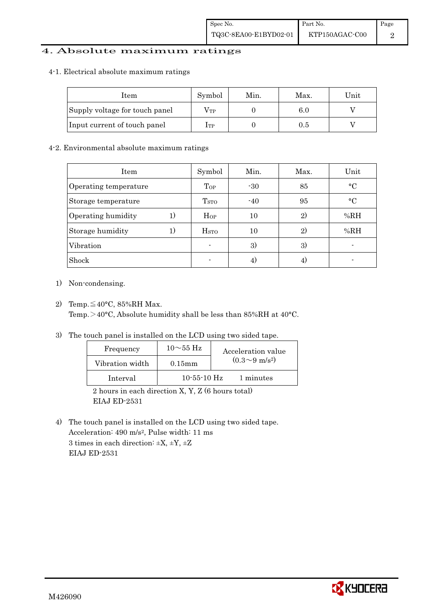#### 4. Absolute maximum ratings

#### 4-1. Electrical absolute maximum ratings

| Item                           | Symbol       | Min. | Max. | Unit |
|--------------------------------|--------------|------|------|------|
| Supply voltage for touch panel | $\rm V_{TP}$ |      | 6.0  |      |
| Input current of touch panel   | $_{\rm ITP}$ |      | 0.5  |      |

#### 4-2. Environmental absolute maximum ratings

| Item                  | Symbol           | Min.           | Max. | Unit      |
|-----------------------|------------------|----------------|------|-----------|
| Operating temperature | Top              | $-30$          | 85   | $\circ$ C |
| Storage temperature   | T <sub>STO</sub> | $-40$          | 95   | $\circ$ C |
| Operating humidity    | $H_{OP}$         | 10             | 2)   | %RH       |
| Storage humidity      | H <sub>STO</sub> | 10             | 2)   | %RH       |
| Vibration             | $\blacksquare$   | 3)             | 3)   |           |
| Shock                 |                  | $\overline{4}$ |      |           |

- 1) Non-condensing.
- 2) Temp.  $\leq 40^{\circ}$ C, 85%RH Max. Temp. $>$ 40°C, Absolute humidity shall be less than 85%RH at 40°C.
- 3) The touch panel is installed on the LCD using two sided tape.

| Frequency       | $10\sim\!55~\mathrm{Hz}$ | Acceleration value         |
|-----------------|--------------------------|----------------------------|
| Vibration width | $0.15$ mm                | $(0.3{\sim}9~{\rm m/s^2})$ |
| Interval        | $10-55-10$ Hz            | 1 minutes                  |
|                 |                          |                            |

2 hours in each direction X, Y, Z (6 hours total) EIAJ ED-2531

4) The touch panel is installed on the LCD using two sided tape. Acceleration: 490 m/s2, Pulse width: 11 ms 3 times in each direction:  $\pm X$ ,  $\pm Y$ ,  $\pm Z$ EIAJ ED-2531

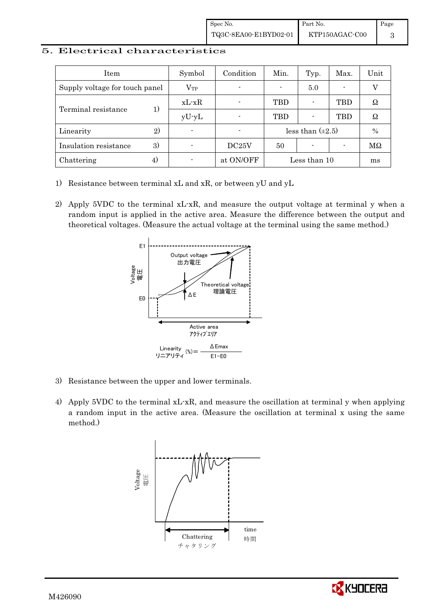#### 5. Electrical characteristics

| Item                           |    | Symbol                   | Condition | Min.       | Typ.                  | Max. | Unit |
|--------------------------------|----|--------------------------|-----------|------------|-----------------------|------|------|
| Supply voltage for touch panel |    | $\rm V_{TP}$             |           |            | 5.0                   |      |      |
|                                | 1) | $xL-xR$                  |           | <b>TBD</b> |                       | TBD  | Ω    |
| Terminal resistance            |    | $yU-yL$                  |           | TBD        |                       | TBD  | Ω    |
| Linearity                      | 2) |                          |           |            | less than $(\pm 2.5)$ |      | $\%$ |
| Insulation resistance          | 3) |                          | DC25V     | 50         |                       |      | MΩ   |
| Chattering                     | 4) | $\overline{\phantom{a}}$ | at ON/OFF |            | Less than 10          |      | ms   |

- 1) Resistance between terminal xL and xR, or between yU and yL
- 2) Apply 5VDC to the terminal xL-xR, and measure the output voltage at terminal y when a random input is applied in the active area. Measure the difference between the output and theoretical voltages. (Measure the actual voltage at the terminal using the same method.)



- 3) Resistance between the upper and lower terminals.
- 4) Apply 5VDC to the terminal xL-xR, and measure the oscillation at terminal y when applying a random input in the active area. (Measure the oscillation at terminal x using the same method.)



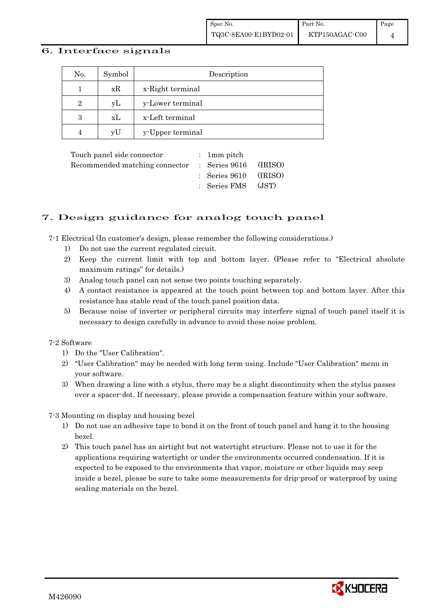#### 6. Interface signals

| No.            | Symbol | Description      |
|----------------|--------|------------------|
|                | xR     | x-Right terminal |
| $\overline{2}$ | уL     | y-Lower terminal |
| 3              | xL     | x-Left terminal  |
| $\overline{4}$ | vU     | y-Upper terminal |

| Touch panel side connector                           | : 1 mm pitch                     |       |
|------------------------------------------------------|----------------------------------|-------|
| Recommended matching connector : Series 9616 (IRISO) |                                  |       |
|                                                      | $\therefore$ Series 9610 (IRISO) |       |
|                                                      | : Series FMS                     | (JST) |

#### 7. Design guidance for analog touch panel

7-1 Electrical (In customer's design, please remember the following considerations.)

- 1) Do not use the current regulated circuit.
- 2) Keep the current limit with top and bottom layer. (Please refer to "Electrical absolute maximum ratings" for details.)
- 3) Analog touch panel can not sense two points touching separately.
- 4) A contact resistance is appeared at the touch point between top and bottom layer. After this resistance has stable read of the touch panel position data.
- 5) Because noise of inverter or peripheral circuits may interfere signal of touch panel itself it is necessary to design carefully in advance to avoid these noise problem.

#### 7-2 Software

- 1) Do the "User Calibration".
- 2) "User Calibration" may be needed with long term using. Include "User Calibration" menu in your software.
- 3) When drawing a line with a stylus, there may be a slight discontinuity when the stylus passes over a spacer-dot. If necessary, please provide a compensation feature within your software.

7-3 Mounting on display and housing bezel

- 1) Do not use an adhesive tape to bond it on the front of touch panel and hang it to the housing bezel.
- 2) This touch panel has an airtight but not watertight structure. Please not to use it for the applications requiring watertight or under the environments occurred condensation. If it is expected to be exposed to the environments that vapor, moisture or other liquids may seep inside a bezel, please be sure to take some measurements for drip-proof or waterproof by using sealing materials on the bezel.

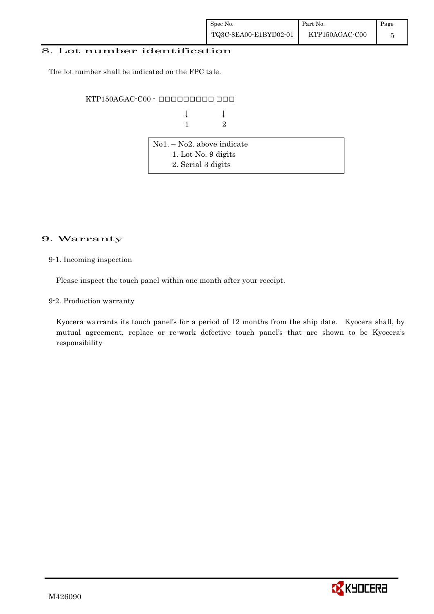#### 8. Lot number identification

The lot number shall be indicated on the FPC tale.

KTP150AGAC-C00 - ######### ###

 $\downarrow$   $\downarrow$   $\downarrow$ **1** 2

| $\vert$ No1. – No2. above indicate |  |
|------------------------------------|--|
| 1. Lot No. 9 digits                |  |
| 2. Serial 3 digits                 |  |

#### 9. Warranty

#### 9-1. Incoming inspection

Please inspect the touch panel within one month after your receipt.

9-2. Production warranty

! ! Kyocera warrants its touch panel's for a period of 12 months from the ship date. Kyocera shall, by mutual agreement, replace or re-work defective touch panel's that are shown to be Kyocera's responsibility

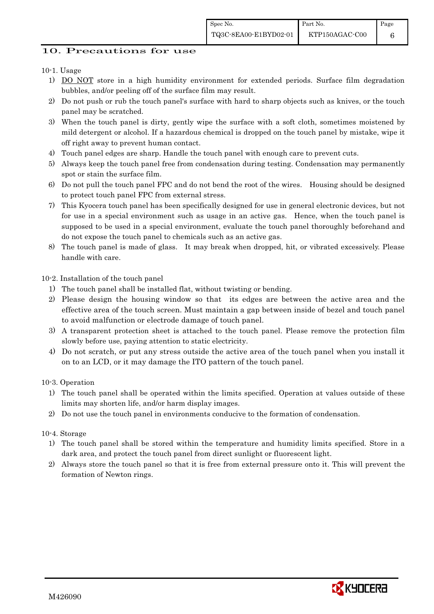Page 6

#### 10. Precautions for use

10-1. Usage

- 1) DO NOT store in a high humidity environment for extended periods. Surface film degradation bubbles, and/or peeling off of the surface film may result.
- 2) Do not push or rub the touch panel's surface with hard to sharp objects such as knives, or the touch panel may be scratched.
- 3) When the touch panel is dirty, gently wipe the surface with a soft cloth, sometimes moistened by mild detergent or alcohol. If a hazardous chemical is dropped on the touch panel by mistake, wipe it off right away to prevent human contact.
- 4) Touch panel edges are sharp. Handle the touch panel with enough care to prevent cuts.
- 5) Always keep the touch panel free from condensation during testing. Condensation may permanently spot or stain the surface film.
- 6) Do not pull the touch panel FPC and do not bend the root of the wires. Housing should be designed to protect touch panel FPC from external stress.
- 7) This Kyocera touch panel has been specifically designed for use in general electronic devices, but not for use in a special environment such as usage in an active gas. Hence, when the touch panel is supposed to be used in a special environment, evaluate the touch panel thoroughly beforehand and do not expose the touch panel to chemicals such as an active gas.
- 8) The touch panel is made of glass. It may break when dropped, hit, or vibrated excessively. Please handle with care.

10-2. Installation of the touch panel

- 1) The touch panel shall be installed flat, without twisting or bending.
- 2) Please design the housing window so that its edges are between the active area and the effective area of the touch screen. Must maintain a gap between inside of bezel and touch panel to avoid malfunction or electrode damage of touch panel.
- 3) A transparent protection sheet is attached to the touch panel. Please remove the protection film slowly before use, paying attention to static electricity.
- 4) Do not scratch, or put any stress outside the active area of the touch panel when you install it on to an LCD, or it may damage the ITO pattern of the touch panel.

10-3. Operation

- 1) The touch panel shall be operated within the limits specified. Operation at values outside of these limits may shorten life, and/or harm display images.
- 2) Do not use the touch panel in environments conducive to the formation of condensation.

10-4. Storage

- 1) The touch panel shall be stored within the temperature and humidity limits specified. Store in a dark area, and protect the touch panel from direct sunlight or fluorescent light.
- 2) Always store the touch panel so that it is free from external pressure onto it. This will prevent the formation of Newton rings.

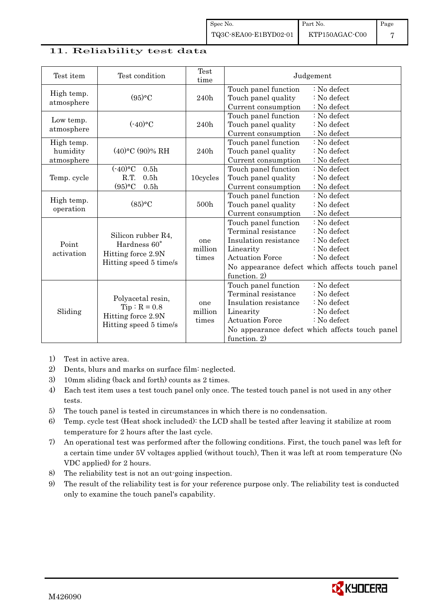#### 11. Reliability test data

| Test item                            | Test condition                                                                              | Test<br>time            | Judgement                                                                                                                                                                                                                                                             |
|--------------------------------------|---------------------------------------------------------------------------------------------|-------------------------|-----------------------------------------------------------------------------------------------------------------------------------------------------------------------------------------------------------------------------------------------------------------------|
| High temp.<br>atmosphere             | (95)°C                                                                                      | 240h                    | Touch panel function<br>: No defect<br>Touch panel quality<br>$:$ No defect<br>Current consumption<br>: No defect                                                                                                                                                     |
| Low temp.<br>atmosphere              | $(-40)$ °C                                                                                  | 240h                    | : No defect<br>Touch panel function<br>: No defect<br>Touch panel quality<br>Current consumption<br>: No defect                                                                                                                                                       |
| High temp.<br>humidity<br>atmosphere | $(40)$ °C $(90)$ % RH                                                                       | 240h                    | : No defect<br>Touch panel function<br>Touch panel quality<br>: No defect<br>Current consumption<br>: No defect                                                                                                                                                       |
| Temp. cycle                          | $(-40)$ °C<br>0.5 <sub>h</sub><br>R.T.<br>0.5 <sub>h</sub><br>$(95)$ °C<br>0.5 <sub>h</sub> | 10cycles                | Touch panel function<br>: No defect<br>Touch panel quality<br>: No defect<br>: No defect<br>Current consumption                                                                                                                                                       |
| High temp.<br>operation              | (85)°C                                                                                      | 500h                    | : No defect<br>Touch panel function<br>Touch panel quality<br>: No defect<br>Current consumption<br>: No defect                                                                                                                                                       |
| Point<br>activation                  | Silicon rubber R4,<br>Hardness 60°<br>Hitting force 2.9N<br>Hitting speed 5 time/s          | one<br>million<br>times | Touch panel function<br>: No defect<br>Terminal resistance<br>$: No$ defect<br>Insulation resistance<br>: No defect<br>Linearity<br>$\therefore$ No defect<br><b>Actuation Force</b><br>: No defect<br>No appearance defect which affects touch panel<br>function. 2) |
| Sliding                              | Polyacetal resin,<br>$Tip: R = 0.8$<br>Hitting force 2.9N<br>Hitting speed 5 time/s         | one<br>million<br>times | Touch panel function<br>: No defect<br>Terminal resistance<br>: No defect<br>Insulation resistance<br>: No defect<br>Linearity<br>$:$ No defect<br><b>Actuation Force</b><br>$\therefore$ No defect<br>No appearance defect which affects touch panel<br>function. 2) |

- 1) Test in active area.
- 2) Dents, blurs and marks on surface film: neglected.
- 3) 10mm sliding (back and forth) counts as 2 times.
- 4) Each test item uses a test touch panel only once. The tested touch panel is not used in any other tests.
- 5) The touch panel is tested in circumstances in which there is no condensation.
- 6) Temp. cycle test (Heat shock included): the LCD shall be tested after leaving it stabilize at room temperature for 2 hours after the last cycle.
- 7) An operational test was performed after the following conditions. First, the touch panel was left for a certain time under 5V voltages applied (without touch), Then it was left at room temperature (No VDC applied) for 2 hours.
- 8) The reliability test is not an out-going inspection.
- 9) The result of the reliability test is for your reference purpose only. The reliability test is conducted only to examine the touch panel's capability.